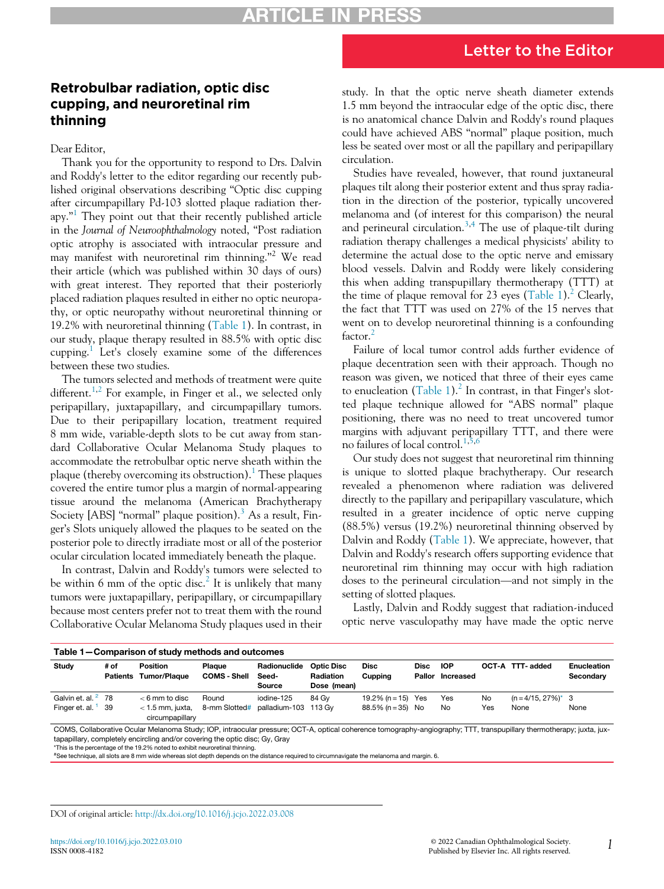## Letter to the Editor

## Retrobulbar radiation, optic disc cupping, and neuroretinal rim thinning

Dear Editor,

Thank you for the opportunity to respond to Drs. Dalvin and Roddy's letter to the editor regarding our recently published original observations describing "Optic disc cupping after circumpapillary Pd-103 slotted plaque radiation ther-apy."<sup>[1](#page-1-0)</sup> They point out that their recently published article in the Journal of Neuroophthalmology noted, "Post radiation optic atrophy is associated with intraocular pressure and may manifest with neuroretinal rim thinning."<sup>2</sup> We read their article (which was published within 30 days of ours) with great interest. They reported that their posteriorly placed radiation plaques resulted in either no optic neuropathy, or optic neuropathy without neuroretinal thinning or 19.2% with neuroretinal thinning ([Table 1\)](#page-0-0). In contrast, in our study, plaque therapy resulted in 88.5% with optic disc cupping.<sup>[1](#page-1-0)</sup> Let's closely examine some of the differences between these two studies.

The tumors selected and methods of treatment were quite different.<sup>[1](#page-1-0)[,2](#page-1-1)</sup> For example, in Finger et al., we selected only peripapillary, juxtapapillary, and circumpapillary tumors. Due to their peripapillary location, treatment required 8 mm wide, variable-depth slots to be cut away from standard Collaborative Ocular Melanoma Study plaques to accommodate the retrobulbar optic nerve sheath within the plaque (thereby overcoming its obstruction).<sup>[1](#page-1-0)</sup> These plaques covered the entire tumor plus a margin of normal-appearing tissue around the melanoma (American Brachytherapy Society [ABS] "normal" plaque position).<sup>[3](#page-1-2)</sup> As a result, Finger's Slots uniquely allowed the plaques to be seated on the posterior pole to directly irradiate most or all of the posterior ocular circulation located immediately beneath the plaque.

In contrast, Dalvin and Roddy's tumors were selected to be within 6 mm of the optic disc.<sup>[2](#page-1-1)</sup> It is unlikely that many tumors were juxtapapillary, peripapillary, or circumpapillary because most centers prefer not to treat them with the round Collaborative Ocular Melanoma Study plaques used in their study. In that the optic nerve sheath diameter extends 1.5 mm beyond the intraocular edge of the optic disc, there is no anatomical chance Dalvin and Roddy's round plaques could have achieved ABS "normal" plaque position, much less be seated over most or all the papillary and peripapillary circulation.

Studies have revealed, however, that round juxtaneural plaques tilt along their posterior extent and thus spray radiation in the direction of the posterior, typically uncovered melanoma and (of interest for this comparison) the neural and perineural circulation.<sup>[3](#page-1-2)[,4](#page-1-3)</sup> The use of plaque-tilt during radiation therapy challenges a medical physicists' ability to determine the actual dose to the optic nerve and emissary blood vessels. Dalvin and Roddy were likely considering this when adding transpupillary thermotherapy (TTT) at the time of plaque removal for 23 eyes ([Table 1](#page-0-0)).<sup>2</sup> Clearly, the fact that TTT was used on 27% of the 15 nerves that went on to develop neuroretinal thinning is a confounding factor.<sup>[2](#page-1-1)</sup>

Failure of local tumor control adds further evidence of plaque decentration seen with their approach. Though no reason was given, we noticed that three of their eyes came to enucleation [\(Table 1](#page-0-0)).<sup>[2](#page-1-1)</sup> In contrast, in that Finger's slotted plaque technique allowed for "ABS normal" plaque positioning, there was no need to treat uncovered tumor margins with adjuvant peripapillary TTT, and there were no failures of local control.[1,](#page-1-0)[5](#page-1-4)[,6](#page-1-5)

Our study does not suggest that neuroretinal rim thinning is unique to slotted plaque brachytherapy. Our research revealed a phenomenon where radiation was delivered directly to the papillary and peripapillary vasculature, which resulted in a greater incidence of optic nerve cupping (88.5%) versus (19.2%) neuroretinal thinning observed by Dalvin and Roddy ([Table 1\)](#page-0-0). We appreciate, however, that Dalvin and Roddy's research offers supporting evidence that neuroretinal rim thinning may occur with high radiation doses to the perineural circulation—and not simply in the setting of slotted plaques.

Lastly, Dalvin and Roddy suggest that radiation-induced optic nerve vasculopathy may have made the optic nerve

<span id="page-0-0"></span>

| Table 1-Comparison of study methods and outcomes |      |                                          |                               |                       |                                |                        |      |                                |     |                        |                                 |
|--------------------------------------------------|------|------------------------------------------|-------------------------------|-----------------------|--------------------------------|------------------------|------|--------------------------------|-----|------------------------|---------------------------------|
| Study                                            | # of | <b>Position</b><br>Patients Tumor/Plaque | Plague<br><b>COMS - Shell</b> | Radionuclide<br>Seed- | <b>Optic Disc</b><br>Radiation | <b>Disc</b><br>Cupping | Disc | <b>IOP</b><br>Pallor Increased |     | OCT-A TTT-added        | <b>Enucleation</b><br>Secondary |
|                                                  |      |                                          |                               | Source                | Dose (mean)                    |                        |      |                                |     |                        |                                 |
| Galvin et. al. <sup>2</sup> 78                   |      | $< 6$ mm to disc                         | Round                         | iodine-125            | 84 Gv                          | 19.2% (n = 15) Yes     |      | Yes                            | No  | $(n = 4/15, 27\%)^*$ 3 |                                 |
| Finger et. al.                                   | 39   | $<$ 1.5 mm. juxta.<br>circumpapillary    | 8-mm Slotted#                 | palladium-103 113 Gv  |                                | 88.5% (n = 35) No      |      | No                             | Yes | None                   | None                            |

COMS, Collaborative Ocular Melanoma Study; IOP, intraocular pressure; OCT-A, optical coherence tomography-angiography; TTT, transpupillary thermotherapy; juxta, juxtapapillary, completely encircling and/or covering the optic disc; Gy, Gray

<span id="page-0-1"></span>\*This is the percentage of the 19.2% noted to exhibit neuroretinal thinning.

# See technique, all slots are 8 mm wide whereas slot depth depends on the distance required to circumnavigate the melanoma and margin. 6.

#### DOI of original article: <http://dx.doi.org/10.1016/j.jcjo.2022.03.008>